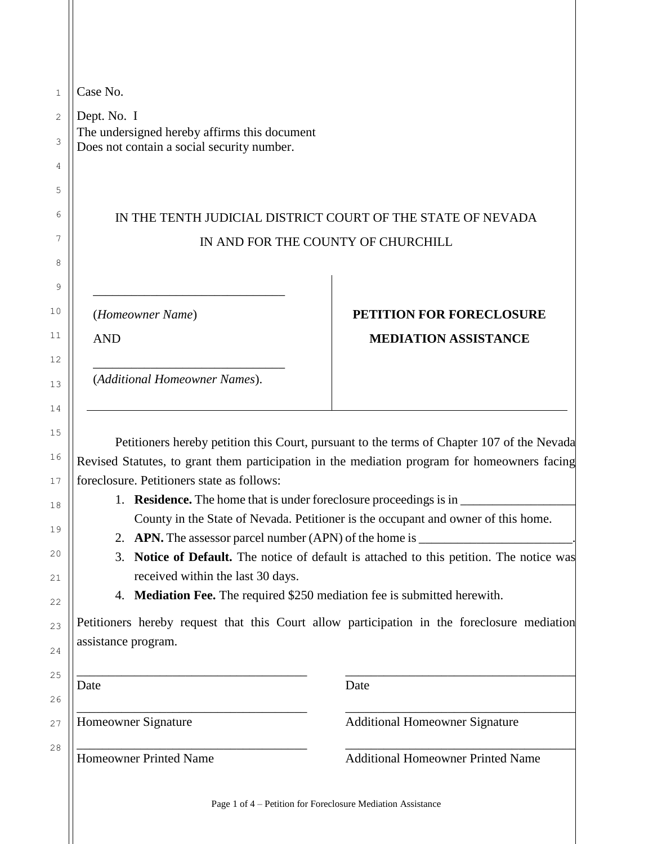| Case No.                                                    |                                                                                                                                                                                                                                                                                 |  |  |  |
|-------------------------------------------------------------|---------------------------------------------------------------------------------------------------------------------------------------------------------------------------------------------------------------------------------------------------------------------------------|--|--|--|
| Dept. No. I<br>The undersigned hereby affirms this document |                                                                                                                                                                                                                                                                                 |  |  |  |
| Does not contain a social security number.                  |                                                                                                                                                                                                                                                                                 |  |  |  |
|                                                             |                                                                                                                                                                                                                                                                                 |  |  |  |
|                                                             |                                                                                                                                                                                                                                                                                 |  |  |  |
| IN THE TENTH JUDICIAL DISTRICT COURT OF THE STATE OF NEVADA |                                                                                                                                                                                                                                                                                 |  |  |  |
|                                                             | IN AND FOR THE COUNTY OF CHURCHILL                                                                                                                                                                                                                                              |  |  |  |
|                                                             |                                                                                                                                                                                                                                                                                 |  |  |  |
| (Homeowner Name)                                            | PETITION FOR FORECLOSURE                                                                                                                                                                                                                                                        |  |  |  |
| <b>AND</b>                                                  | <b>MEDIATION ASSISTANCE</b>                                                                                                                                                                                                                                                     |  |  |  |
|                                                             |                                                                                                                                                                                                                                                                                 |  |  |  |
|                                                             |                                                                                                                                                                                                                                                                                 |  |  |  |
| (Additional Homeowner Names).                               |                                                                                                                                                                                                                                                                                 |  |  |  |
|                                                             |                                                                                                                                                                                                                                                                                 |  |  |  |
|                                                             |                                                                                                                                                                                                                                                                                 |  |  |  |
|                                                             |                                                                                                                                                                                                                                                                                 |  |  |  |
| foreclosure. Petitioners state as follows:                  |                                                                                                                                                                                                                                                                                 |  |  |  |
|                                                             | <b>Residence.</b> The home that is under foreclosure proceedings is in                                                                                                                                                                                                          |  |  |  |
|                                                             | Petitioners hereby petition this Court, pursuant to the terms of Chapter 107 of the Nevada<br>Revised Statutes, to grant them participation in the mediation program for homeowners facing<br>County in the State of Nevada. Petitioner is the occupant and owner of this home. |  |  |  |
| 2.                                                          |                                                                                                                                                                                                                                                                                 |  |  |  |
| 3.                                                          | Notice of Default. The notice of default is attached to this petition. The notice was                                                                                                                                                                                           |  |  |  |
| received within the last 30 days.                           |                                                                                                                                                                                                                                                                                 |  |  |  |
|                                                             | 4. Mediation Fee. The required \$250 mediation fee is submitted herewith.                                                                                                                                                                                                       |  |  |  |
|                                                             | Petitioners hereby request that this Court allow participation in the foreclosure mediation                                                                                                                                                                                     |  |  |  |
| assistance program.                                         |                                                                                                                                                                                                                                                                                 |  |  |  |
| Date                                                        | Date                                                                                                                                                                                                                                                                            |  |  |  |
| Homeowner Signature                                         | <b>Additional Homeowner Signature</b>                                                                                                                                                                                                                                           |  |  |  |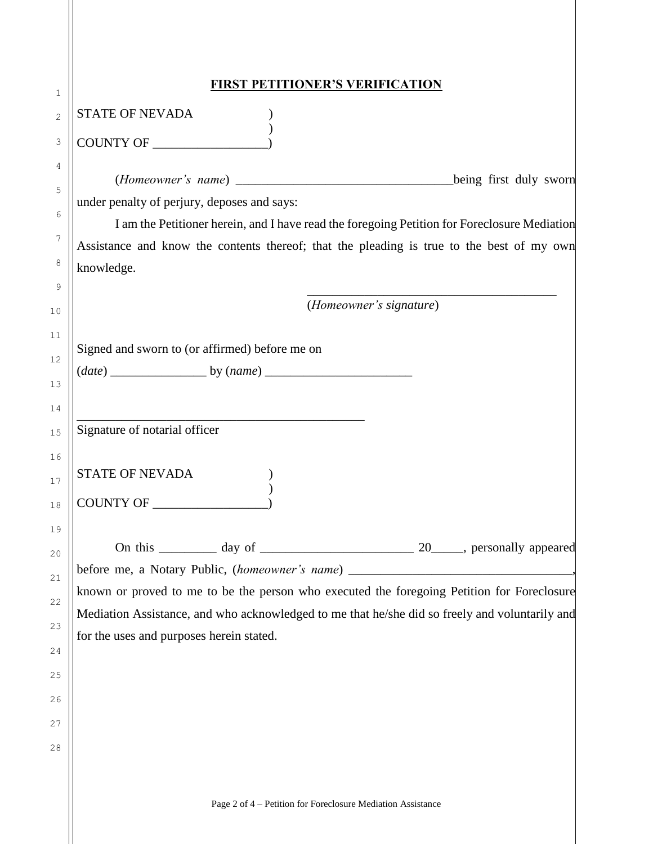| 1        | <b>FIRST PETITIONER'S VERIFICATION</b>                                                                                                                                          |
|----------|---------------------------------------------------------------------------------------------------------------------------------------------------------------------------------|
| 2        | <b>STATE OF NEVADA</b>                                                                                                                                                          |
| 3        | COUNTY OF                                                                                                                                                                       |
| 4        |                                                                                                                                                                                 |
| 5        | under penalty of perjury, deposes and says:                                                                                                                                     |
| 6        | I am the Petitioner herein, and I have read the foregoing Petition for Foreclosure Mediation                                                                                    |
| 7        | Assistance and know the contents thereof; that the pleading is true to the best of my own                                                                                       |
| 8        | knowledge.                                                                                                                                                                      |
| 9        | (Homeowner's signature)                                                                                                                                                         |
| 10       |                                                                                                                                                                                 |
| 11       | Signed and sworn to (or affirmed) before me on                                                                                                                                  |
| $12\,$   |                                                                                                                                                                                 |
| 13<br>14 |                                                                                                                                                                                 |
| 15       | Signature of notarial officer                                                                                                                                                   |
| 16       |                                                                                                                                                                                 |
| 17       | <b>STATE OF NEVADA</b>                                                                                                                                                          |
| $1\,8$   | COUNTY OF                                                                                                                                                                       |
| 19       |                                                                                                                                                                                 |
| $20$     |                                                                                                                                                                                 |
| $21\,$   | before me, a Notary Public, (homeowner's name) __________________________________<br>known or proved to me to be the person who executed the foregoing Petition for Foreclosure |
| 22       | Mediation Assistance, and who acknowledged to me that he/she did so freely and voluntarily and                                                                                  |
| 23       | for the uses and purposes herein stated.                                                                                                                                        |
| 24       |                                                                                                                                                                                 |
| 25       |                                                                                                                                                                                 |
| 26       |                                                                                                                                                                                 |
| 27       |                                                                                                                                                                                 |
| 28       |                                                                                                                                                                                 |
|          |                                                                                                                                                                                 |
|          | Page 2 of 4 - Petition for Foreclosure Mediation Assistance                                                                                                                     |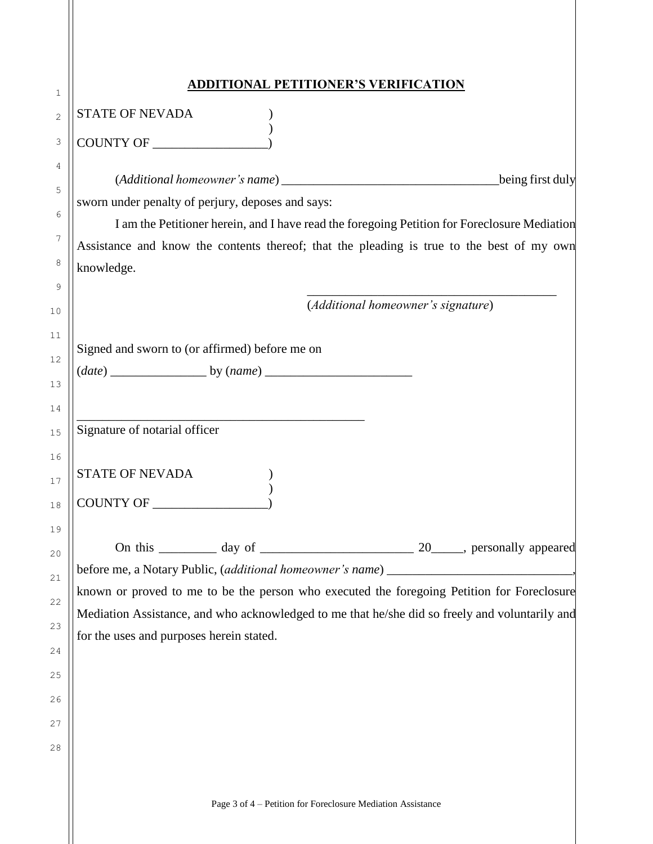| <b>ADDITIONAL PETITIONER'S VERIFICATION</b>                                                    |                                    |  |
|------------------------------------------------------------------------------------------------|------------------------------------|--|
| <b>STATE OF NEVADA</b>                                                                         |                                    |  |
| COUNTY OF                                                                                      |                                    |  |
|                                                                                                |                                    |  |
|                                                                                                |                                    |  |
| sworn under penalty of perjury, deposes and says:                                              |                                    |  |
| I am the Petitioner herein, and I have read the foregoing Petition for Foreclosure Mediation   |                                    |  |
| Assistance and know the contents thereof; that the pleading is true to the best of my own      |                                    |  |
| knowledge.                                                                                     |                                    |  |
|                                                                                                | (Additional homeowner's signature) |  |
|                                                                                                |                                    |  |
| Signed and sworn to (or affirmed) before me on                                                 |                                    |  |
|                                                                                                |                                    |  |
|                                                                                                |                                    |  |
|                                                                                                |                                    |  |
| Signature of notarial officer                                                                  |                                    |  |
|                                                                                                |                                    |  |
| <b>STATE OF NEVADA</b>                                                                         |                                    |  |
| COUNTY OF                                                                                      |                                    |  |
|                                                                                                |                                    |  |
|                                                                                                |                                    |  |
|                                                                                                |                                    |  |
| known or proved to me to be the person who executed the foregoing Petition for Foreclosure     |                                    |  |
| Mediation Assistance, and who acknowledged to me that he/she did so freely and voluntarily and |                                    |  |
| for the uses and purposes herein stated.                                                       |                                    |  |
|                                                                                                |                                    |  |
|                                                                                                |                                    |  |
|                                                                                                |                                    |  |
|                                                                                                |                                    |  |
|                                                                                                |                                    |  |
|                                                                                                |                                    |  |
|                                                                                                |                                    |  |
| Page 3 of 4 – Petition for Foreclosure Mediation Assistance                                    |                                    |  |